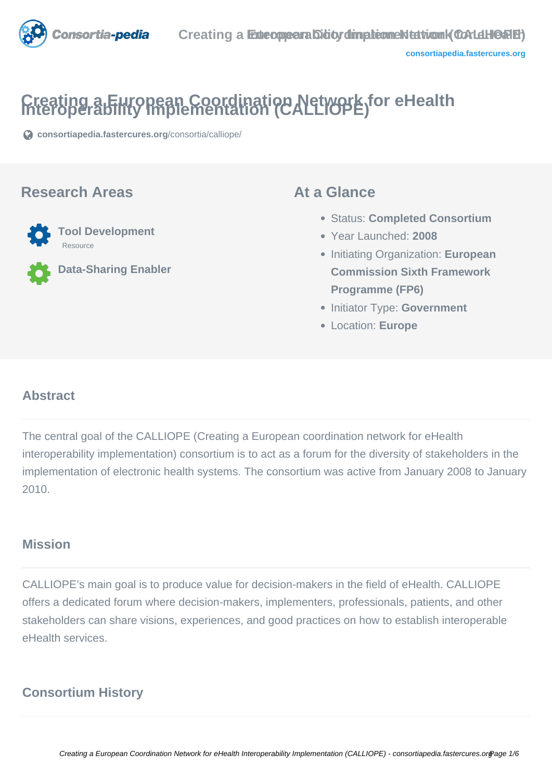

# **Creating a European Coordination Network for eHealth Interoperability Implementation (CALLIOPE)**

**[consortiapedia.fastercures.org](https://consortiapedia.fastercures.org/consortia/calliope/)**[/consortia/calliope/](https://consortiapedia.fastercures.org/consortia/calliope/)

### **Research Areas**



**Data-Sharing Enabler**

### **At a Glance**

- Status: **Completed Consortium**
- Year Launched: **2008**
- Initiating Organization: **European Commission Sixth Framework Programme (FP6)**
- **Initiator Type: Government**
- Location: **Europe**

### $\overline{a}$ **Abstract**

The central goal of the CALLIOPE (Creating a European coordination network for eHealth interoperability implementation) consortium is to act as a forum for the diversity of stakeholders in the implementation of electronic health systems. The consortium was active from January 2008 to January 2010.

### **Mission**

CALLIOPE's main goal is to produce value for decision-makers in the field of eHealth. CALLIOPE offers a dedicated forum where decision-makers, implementers, professionals, patients, and other stakeholders can share visions, experiences, and good practices on how to establish interoperable eHealth services.

# **Consortium History**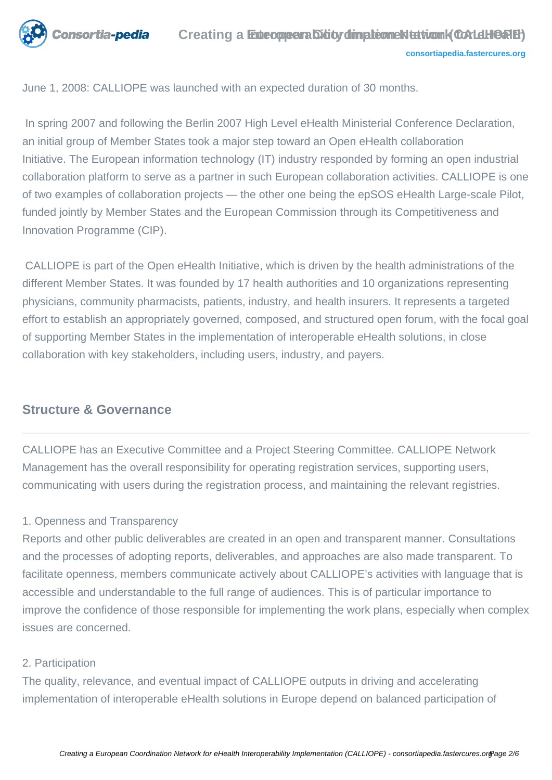

June 1, 2008: CALLIOPE was launched with an expected duration of 30 months.

 In spring 2007 and following the Berlin 2007 High Level eHealth Ministerial Conference Declaration, an initial group of Member States took a major step toward an Open eHealth collaboration Initiative. The European information technology (IT) industry responded by forming an open industrial collaboration platform to serve as a partner in such European collaboration activities. CALLIOPE is one of two examples of collaboration projects — the other one being the epSOS eHealth Large-scale Pilot, funded jointly by Member States and the European Commission through its Competitiveness and Innovation Programme (CIP).

 CALLIOPE is part of the Open eHealth Initiative, which is driven by the health administrations of the different Member States. It was founded by 17 health authorities and 10 organizations representing physicians, community pharmacists, patients, industry, and health insurers. It represents a targeted effort to establish an appropriately governed, composed, and structured open forum, with the focal goal of supporting Member States in the implementation of interoperable eHealth solutions, in close collaboration with key stakeholders, including users, industry, and payers.

# **Structure & Governance**

CALLIOPE has an Executive Committee and a Project Steering Committee. CALLIOPE Network Management has the overall responsibility for operating registration services, supporting users, communicating with users during the registration process, and maintaining the relevant registries.

### 1. Openness and Transparency

Reports and other public deliverables are created in an open and transparent manner. Consultations and the processes of adopting reports, deliverables, and approaches are also made transparent. To facilitate openness, members communicate actively about CALLIOPE's activities with language that is accessible and understandable to the full range of audiences. This is of particular importance to improve the confidence of those responsible for implementing the work plans, especially when complex issues are concerned.

### 2. Participation

The quality, relevance, and eventual impact of CALLIOPE outputs in driving and accelerating implementation of interoperable eHealth solutions in Europe depend on balanced participation of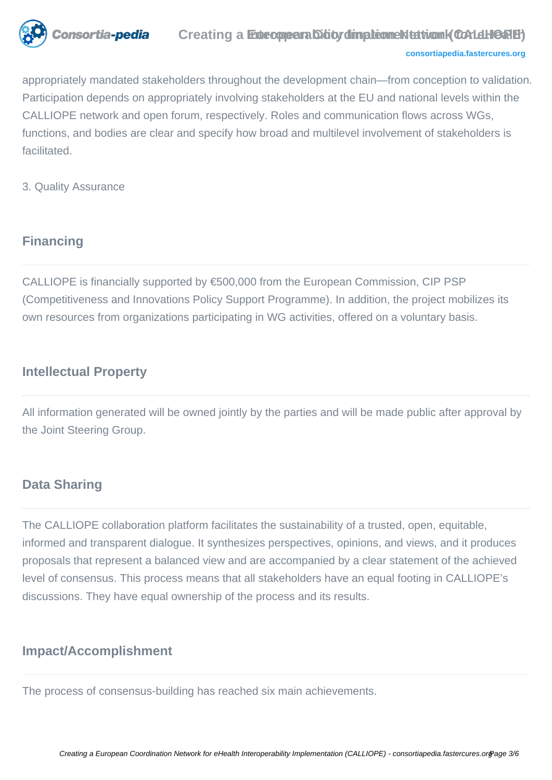

#### **[consortiapedia.fastercures.org](http://consortiapedia.fastercures.org/)**

appropriately mandated stakeholders throughout the development chain—from conception to validation. Participation depends on appropriately involving stakeholders at the EU and national levels within the CALLIOPE network and open forum, respectively. Roles and communication flows across WGs, functions, and bodies are clear and specify how broad and multilevel involvement of stakeholders is facilitated.

3. Quality Assurance

### **Financing**

CALLIOPE is financially supported by €500,000 from the European Commission, CIP PSP (Competitiveness and Innovations Policy Support Programme). In addition, the project mobilizes its own resources from organizations participating in WG activities, offered on a voluntary basis.

### **Intellectual Property**

All information generated will be owned jointly by the parties and will be made public after approval by the Joint Steering Group.

### **Data Sharing**

The CALLIOPE collaboration platform facilitates the sustainability of a trusted, open, equitable, informed and transparent dialogue. It synthesizes perspectives, opinions, and views, and it produces proposals that represent a balanced view and are accompanied by a clear statement of the achieved level of consensus. This process means that all stakeholders have an equal footing in CALLIOPE's discussions. They have equal ownership of the process and its results.

### **Impact/Accomplishment**

The process of consensus-building has reached six main achievements.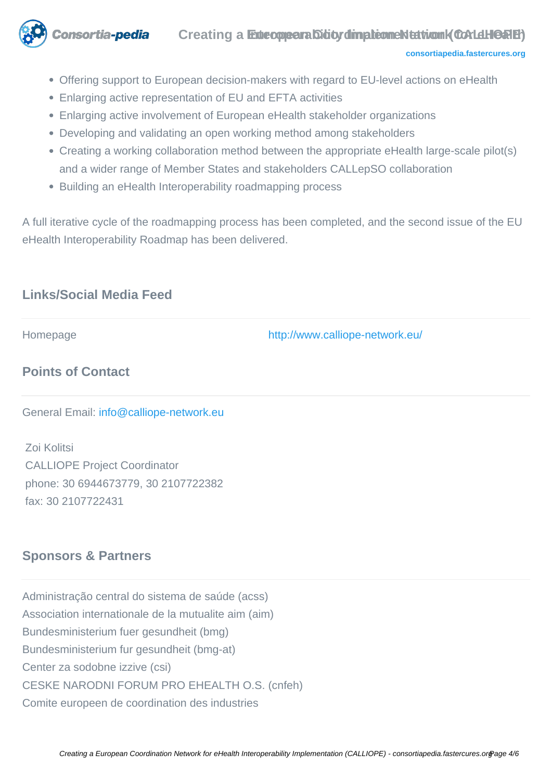

```
consortiapedia.fastercures.org
```
- Offering support to European decision-makers with regard to EU-level actions on eHealth
- Enlarging active representation of EU and EFTA activities
- Enlarging active involvement of European eHealth stakeholder organizations
- Developing and validating an open working method among stakeholders
- Creating a working collaboration method between the appropriate eHealth large-scale pilot(s) and a wider range of Member States and stakeholders CALLepSO collaboration
- Building an eHealth Interoperability roadmapping process

A full iterative cycle of the roadmapping process has been completed, and the second issue of the EU eHealth Interoperability Roadmap has been delivered.

# **Links/Social Media Feed**

Homepage <http://www.calliope-network.eu/>

# **Points of Contact**

General Email: [info@calliope-network.eu](mailto:info@calliope-network.eu) 

 Zoi Kolitsi CALLIOPE Project Coordinator phone: 30 6944673779, 30 2107722382 fax: 30 2107722431

# **Sponsors & Partners**

Administração central do sistema de saúde (acss) Association internationale de la mutualite aim (aim) Bundesministerium fuer gesundheit (bmg) Bundesministerium fur gesundheit (bmg-at) Center za sodobne izzive (csi) CESKE NARODNI FORUM PRO EHEALTH O.S. (cnfeh) Comite europeen de coordination des industries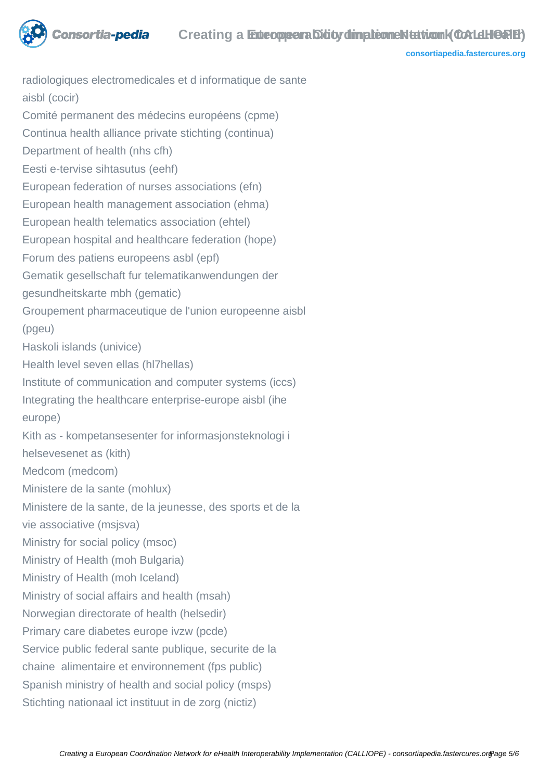

**[consortiapedia.fastercures.org](http://consortiapedia.fastercures.org/)**

radiologiques electromedicales et d informatique de sante aisbl (cocir) Comité permanent des médecins européens (cpme) Continua health alliance private stichting (continua) Department of health (nhs cfh) Eesti e-tervise sihtasutus (eehf) European federation of nurses associations (efn) European health management association (ehma) European health telematics association (ehtel) European hospital and healthcare federation (hope) Forum des patiens europeens asbl (epf) Gematik gesellschaft fur telematikanwendungen der gesundheitskarte mbh (gematic) Groupement pharmaceutique de l'union europeenne aisbl (pgeu) Haskoli islands (univice) Health level seven ellas (hl7hellas) Institute of communication and computer systems (iccs) Integrating the healthcare enterprise-europe aisbl (ihe europe) Kith as - kompetansesenter for informasjonsteknologi i helsevesenet as (kith) Medcom (medcom) Ministere de la sante (mohlux) Ministere de la sante, de la jeunesse, des sports et de la vie associative (msjsva) Ministry for social policy (msoc) Ministry of Health (moh Bulgaria) Ministry of Health (moh Iceland) Ministry of social affairs and health (msah) Norwegian directorate of health (helsedir) Primary care diabetes europe ivzw (pcde) Service public federal sante publique, securite de la chaine alimentaire et environnement (fps public) Spanish ministry of health and social policy (msps) Stichting nationaal ict instituut in de zorg (nictiz)

onsortia-pedia